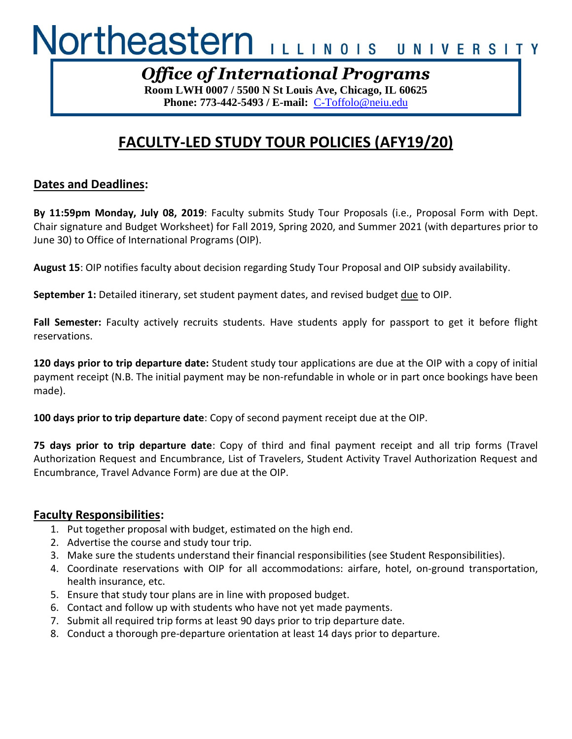# Northeastern ILLINOIS UNIVERSITY

## *Office of International Programs*

**Room LWH 0007 / 5500 N St Louis Ave, Chicago, IL 60625 Phone: 773-442-5493 / E-mail:** C-Toffolo@neiu.edu

# **FACULTY-LED STUDY TOUR POLICIES (AFY19/20)**

#### **Dates and Deadlines:**

**By 11:59pm Monday, July 08, 2019**: Faculty submits Study Tour Proposals (i.e., Proposal Form with Dept. Chair signature and Budget Worksheet) for Fall 2019, Spring 2020, and Summer 2021 (with departures prior to June 30) to Office of International Programs (OIP).

**August 15**: OIP notifies faculty about decision regarding Study Tour Proposal and OIP subsidy availability.

**September 1:** Detailed itinerary, set student payment dates, and revised budget due to OIP.

**Fall Semester:** Faculty actively recruits students. Have students apply for passport to get it before flight reservations.

**120 days prior to trip departure date:** Student study tour applications are due at the OIP with a copy of initial payment receipt (N.B. The initial payment may be non-refundable in whole or in part once bookings have been made).

**100 days prior to trip departure date**: Copy of second payment receipt due at the OIP.

**75 days prior to trip departure date**: Copy of third and final payment receipt and all trip forms (Travel Authorization Request and Encumbrance, List of Travelers, Student Activity Travel Authorization Request and Encumbrance, Travel Advance Form) are due at the OIP.

#### **Faculty Responsibilities:**

- 1. Put together proposal with budget, estimated on the high end.
- 2. Advertise the course and study tour trip.
- 3. Make sure the students understand their financial responsibilities (see Student Responsibilities).
- 4. Coordinate reservations with OIP for all accommodations: airfare, hotel, on-ground transportation, health insurance, etc.
- 5. Ensure that study tour plans are in line with proposed budget.
- 6. Contact and follow up with students who have not yet made payments.
- 7. Submit all required trip forms at least 90 days prior to trip departure date.
- 8. Conduct a thorough pre-departure orientation at least 14 days prior to departure.